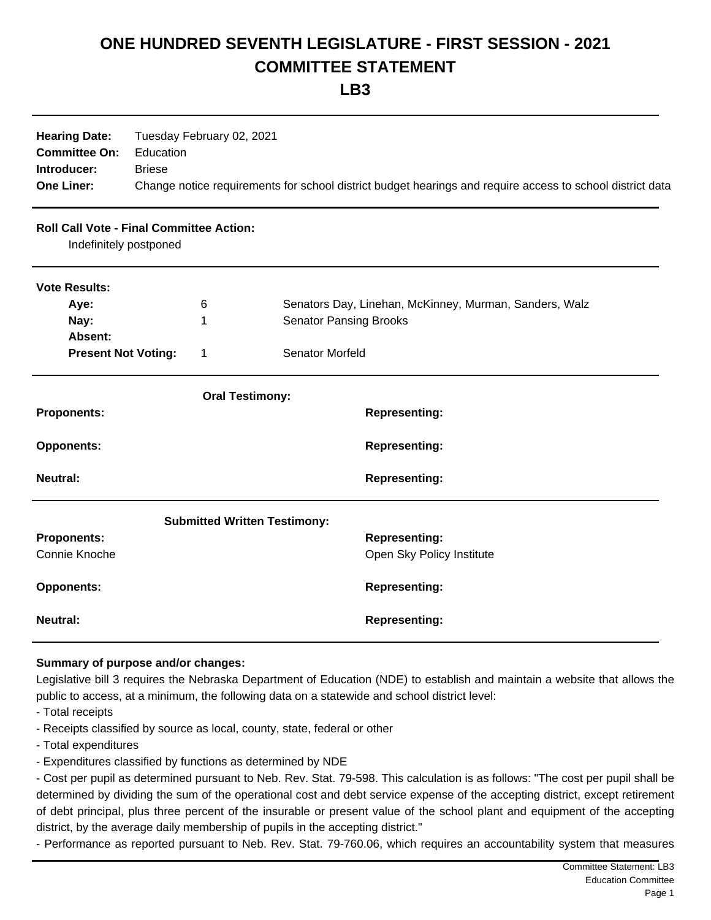## **ONE HUNDRED SEVENTH LEGISLATURE - FIRST SESSION - 2021 COMMITTEE STATEMENT**

**LB3**

| <b>Hearing Date:</b><br><b>Committee On:</b><br>Introducer:<br><b>One Liner:</b> | Tuesday February 02, 2021<br>Education<br><b>Briese</b><br>Change notice requirements for school district budget hearings and require access to school district data |                                     |                                                        |                           |  |
|----------------------------------------------------------------------------------|----------------------------------------------------------------------------------------------------------------------------------------------------------------------|-------------------------------------|--------------------------------------------------------|---------------------------|--|
| <b>Roll Call Vote - Final Committee Action:</b><br>Indefinitely postponed        |                                                                                                                                                                      |                                     |                                                        |                           |  |
| <b>Vote Results:</b>                                                             |                                                                                                                                                                      |                                     |                                                        |                           |  |
| Aye:<br>6                                                                        |                                                                                                                                                                      |                                     | Senators Day, Linehan, McKinney, Murman, Sanders, Walz |                           |  |
| Nay:                                                                             |                                                                                                                                                                      | 1                                   | <b>Senator Pansing Brooks</b>                          |                           |  |
| Absent:                                                                          |                                                                                                                                                                      |                                     |                                                        |                           |  |
| <b>Present Not Voting:</b><br>1                                                  |                                                                                                                                                                      | <b>Senator Morfeld</b>              |                                                        |                           |  |
|                                                                                  |                                                                                                                                                                      | <b>Oral Testimony:</b>              |                                                        |                           |  |
| <b>Proponents:</b>                                                               |                                                                                                                                                                      |                                     |                                                        | <b>Representing:</b>      |  |
| <b>Opponents:</b>                                                                |                                                                                                                                                                      |                                     |                                                        | <b>Representing:</b>      |  |
| <b>Neutral:</b>                                                                  |                                                                                                                                                                      |                                     |                                                        | <b>Representing:</b>      |  |
|                                                                                  |                                                                                                                                                                      | <b>Submitted Written Testimony:</b> |                                                        |                           |  |
| <b>Proponents:</b>                                                               |                                                                                                                                                                      |                                     |                                                        | <b>Representing:</b>      |  |
| Connie Knoche                                                                    |                                                                                                                                                                      |                                     |                                                        | Open Sky Policy Institute |  |
| <b>Opponents:</b>                                                                |                                                                                                                                                                      |                                     |                                                        | <b>Representing:</b>      |  |
| <b>Neutral:</b>                                                                  |                                                                                                                                                                      |                                     |                                                        | <b>Representing:</b>      |  |

## **Summary of purpose and/or changes:**

Legislative bill 3 requires the Nebraska Department of Education (NDE) to establish and maintain a website that allows the public to access, at a minimum, the following data on a statewide and school district level:

- Total receipts
- Receipts classified by source as local, county, state, federal or other
- Total expenditures
- Expenditures classified by functions as determined by NDE

- Cost per pupil as determined pursuant to Neb. Rev. Stat. 79-598. This calculation is as follows: "The cost per pupil shall be determined by dividing the sum of the operational cost and debt service expense of the accepting district, except retirement of debt principal, plus three percent of the insurable or present value of the school plant and equipment of the accepting district, by the average daily membership of pupils in the accepting district."

- Performance as reported pursuant to Neb. Rev. Stat. 79-760.06, which requires an accountability system that measures